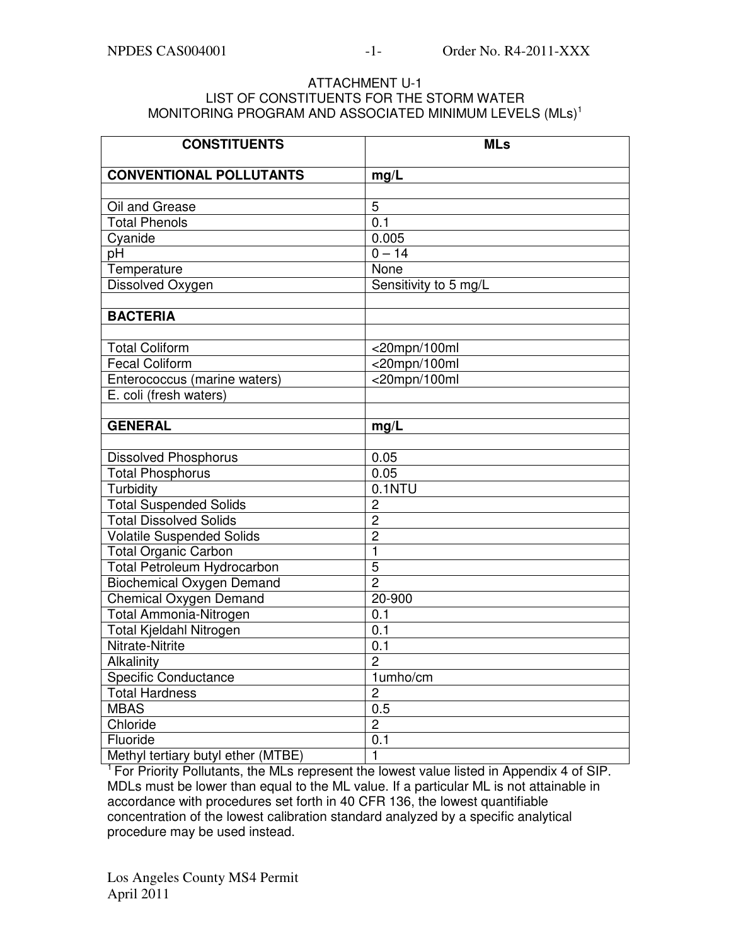## ATTACHMENT U-1 LIST OF CONSTITUENTS FOR THE STORM WATER MONITORING PROGRAM AND ASSOCIATED MINIMUM LEVELS (MLs)<sup>1</sup>

| <b>CONSTITUENTS</b>                | <b>MLs</b>            |
|------------------------------------|-----------------------|
| <b>CONVENTIONAL POLLUTANTS</b>     | mg/L                  |
|                                    |                       |
| Oil and Grease                     | 5                     |
| <b>Total Phenols</b>               | 0.1                   |
| Cyanide                            | 0.005                 |
| pH                                 | $0 - 14$              |
| Temperature                        | None                  |
| Dissolved Oxygen                   | Sensitivity to 5 mg/L |
|                                    |                       |
| <b>BACTERIA</b>                    |                       |
|                                    |                       |
| <b>Total Coliform</b>              | $<$ 20mpn/100ml       |
| <b>Fecal Coliform</b>              | <20mpn/100ml          |
| Enterococcus (marine waters)       | <20mpn/100ml          |
| E. coli (fresh waters)             |                       |
|                                    |                       |
| <b>GENERAL</b>                     | mg/L                  |
| <b>Dissolved Phosphorus</b>        | 0.05                  |
| <b>Total Phosphorus</b>            | 0.05                  |
| Turbidity                          | 0.1NTU                |
| <b>Total Suspended Solids</b>      | $\overline{2}$        |
| <b>Total Dissolved Solids</b>      | $\overline{c}$        |
| <b>Volatile Suspended Solids</b>   | $\overline{2}$        |
| <b>Total Organic Carbon</b>        | $\mathbf{1}$          |
| Total Petroleum Hydrocarbon        | 5                     |
| <b>Biochemical Oxygen Demand</b>   | $\overline{2}$        |
| <b>Chemical Oxygen Demand</b>      | 20-900                |
| Total Ammonia-Nitrogen             | 0.1                   |
| Total Kjeldahl Nitrogen            | 0.1                   |
| Nitrate-Nitrite                    | 0.1                   |
| Alkalinity                         | $\overline{c}$        |
| <b>Specific Conductance</b>        | 1umho/cm              |
| <b>Total Hardness</b>              | $\overline{2}$        |
| <b>MBAS</b>                        | 0.5                   |
| Chloride                           | $\overline{c}$        |
| Fluoride                           | 0.1                   |
| Methyl tertiary butyl ether (MTBE) | $\mathbf{1}$          |

<sup>1</sup> For Priority Pollutants, the MLs represent the lowest value listed in Appendix 4 of SIP. MDLs must be lower than equal to the ML value. If a particular ML is not attainable in accordance with procedures set forth in 40 CFR 136, the lowest quantifiable concentration of the lowest calibration standard analyzed by a specific analytical procedure may be used instead.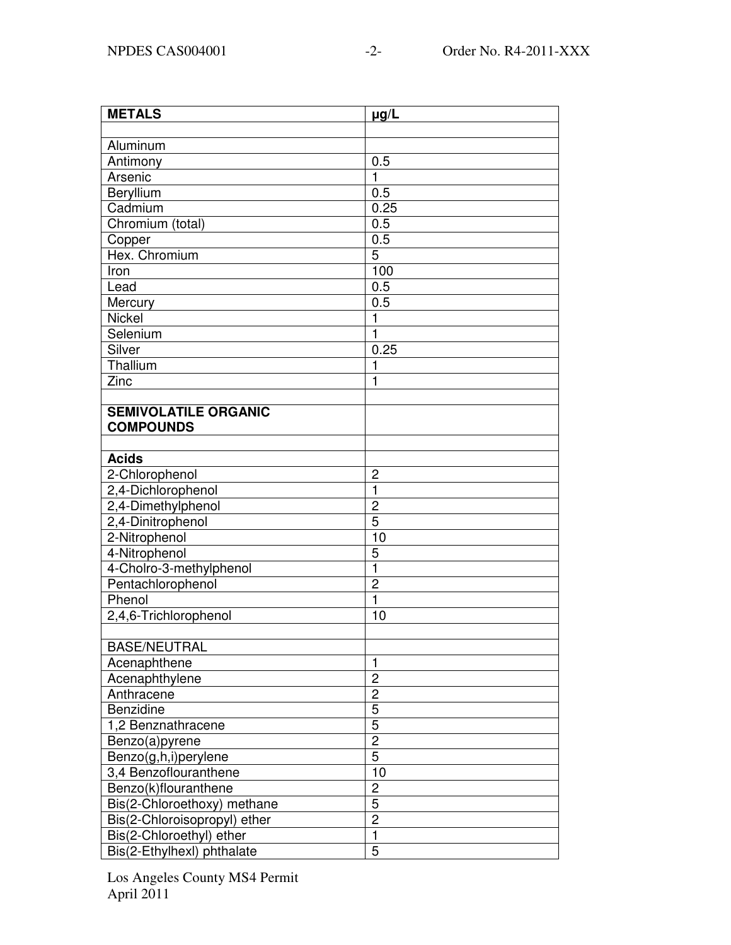| $\mu g/L$        |
|------------------|
|                  |
|                  |
| 0.5              |
| $\mathbf{1}$     |
| 0.5              |
| 0.25             |
| 0.5              |
| 0.5              |
| 5                |
| 100              |
| 0.5              |
| $0.\overline{5}$ |
| $\mathbf{1}$     |
| $\mathbf{1}$     |
| 0.25             |
| $\mathbf{1}$     |
| 1                |
|                  |
|                  |
|                  |
|                  |
|                  |
| 2                |
| $\mathbf{1}$     |
| $\overline{c}$   |
| $\overline{5}$   |
| 10               |
| 5                |
| $\mathbf{1}$     |
| $\overline{2}$   |
| $\mathbf{1}$     |
| 10               |
|                  |
|                  |
| $\mathbf{1}$     |
| $\overline{c}$   |
| $\overline{c}$   |
| 5                |
| $\overline{5}$   |
| $\overline{c}$   |
| $\overline{5}$   |
| 10               |
| $\overline{c}$   |
| 5                |
| $\overline{2}$   |
| $\mathbf{1}$     |
| 5                |
|                  |

Los Angeles County MS4 Permit April 2011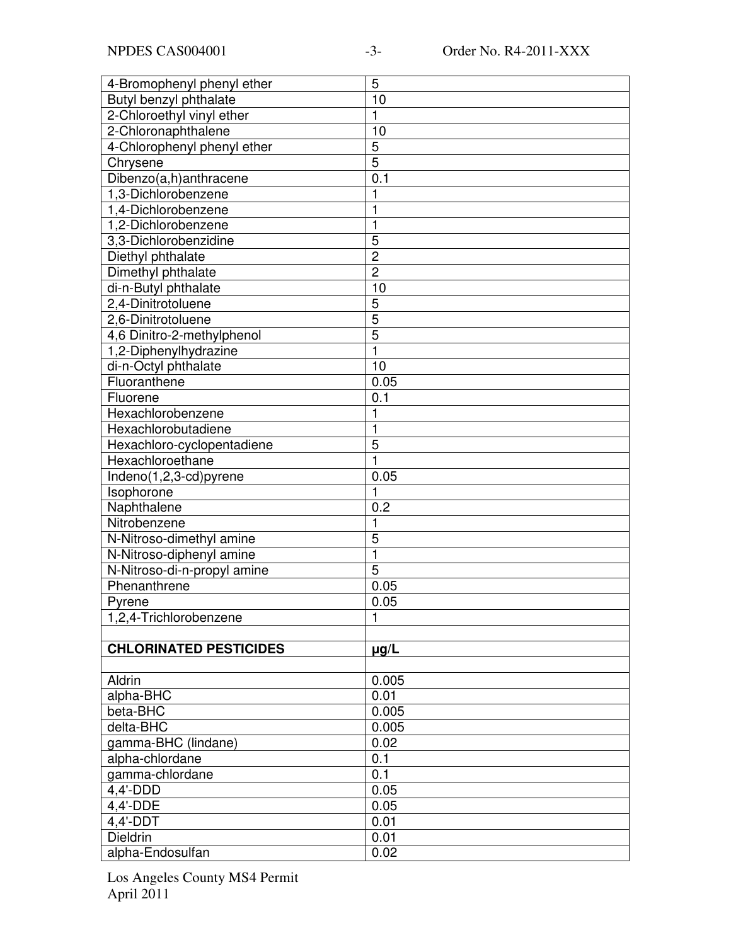| 4-Bromophenyl phenyl ether    | 5              |
|-------------------------------|----------------|
| Butyl benzyl phthalate        | 10             |
| 2-Chloroethyl vinyl ether     | 1              |
| 2-Chloronaphthalene           | 10             |
| 4-Chlorophenyl phenyl ether   | 5              |
| Chrysene                      | $\overline{5}$ |
| Dibenzo(a,h)anthracene        | 0.1            |
| 1,3-Dichlorobenzene           | 1              |
| 1,4-Dichlorobenzene           | $\mathbf{1}$   |
| 1,2-Dichlorobenzene           | 1              |
| 3,3-Dichlorobenzidine         | 5              |
| Diethyl phthalate             | $\overline{c}$ |
| Dimethyl phthalate            | $\overline{2}$ |
| di-n-Butyl phthalate          | 10             |
| 2,4-Dinitrotoluene            | 5              |
| 2,6-Dinitrotoluene            | 5              |
| 4,6 Dinitro-2-methylphenol    | $\overline{5}$ |
| 1,2-Diphenylhydrazine         | $\mathbf{1}$   |
| di-n-Octyl phthalate          | 10             |
| Fluoranthene                  | 0.05           |
| Fluorene                      | 0.1            |
| Hexachlorobenzene             | $\mathbf{1}$   |
| Hexachlorobutadiene           | 1              |
| Hexachloro-cyclopentadiene    | $\overline{5}$ |
| Hexachloroethane              | 1              |
| Indeno(1,2,3-cd)pyrene        | 0.05           |
| Isophorone                    | 1              |
| Naphthalene                   | 0.2            |
| Nitrobenzene                  | 1              |
| N-Nitroso-dimethyl amine      | 5              |
| N-Nitroso-diphenyl amine      | 1              |
| N-Nitroso-di-n-propyl amine   | 5              |
| Phenanthrene                  | 0.05           |
| Pyrene                        | 0.05           |
| 1,2,4-Trichlorobenzene        | 1              |
|                               |                |
| <b>CHLORINATED PESTICIDES</b> | $\mu$ g/L      |
|                               |                |
| Aldrin                        | 0.005          |
| alpha-BHC                     | 0.01           |
| beta-BHC                      | 0.005          |
| delta-BHC                     | 0.005          |
| gamma-BHC (lindane)           | 0.02           |
| alpha-chlordane               | 0.1            |
| gamma-chlordane               | 0.1            |
| $4,4'-DD\overline{D}$         | 0.05           |
| 4,4'-DDE                      | 0.05           |
| $4,4'$ -DDT                   | 0.01           |
| <b>Dieldrin</b>               | 0.01           |
| alpha-Endosulfan              | 0.02           |
|                               |                |

Los Angeles County MS4 Permit April 2011